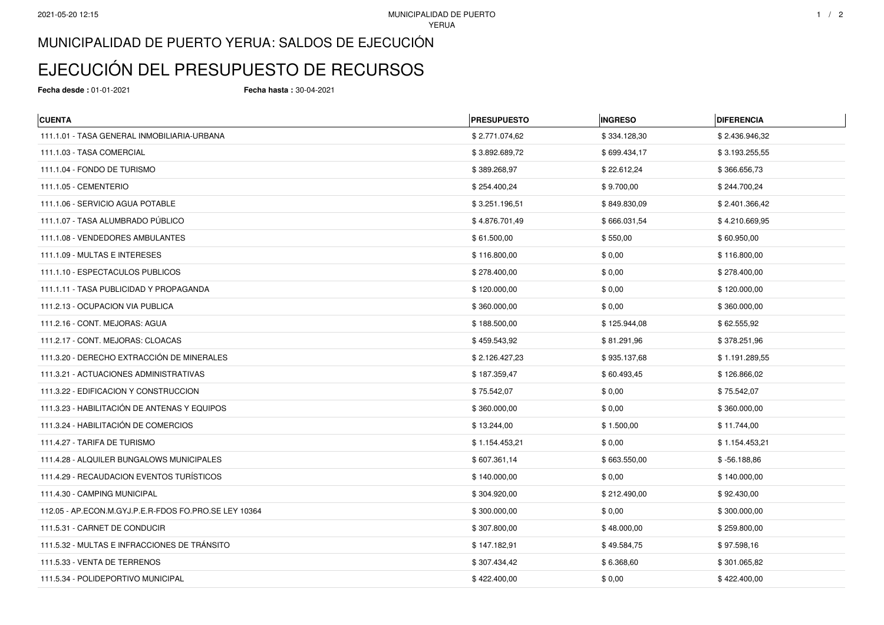## MUNICIPALIDAD DE PUERTO YERUA: SALDOS DE EJECUCIÓN

## EJECUCIÓN DEL PRESUPUESTO DE RECURSOS

**Fecha desde :** 01-01-2021 **Fecha hasta :** 30-04-2021

| <b>CUENTA</b>                                         | <b>PRESUPUESTO</b> | <b>INGRESO</b> | <b>DIFERENCIA</b> |
|-------------------------------------------------------|--------------------|----------------|-------------------|
| 111.1.01 - TASA GENERAL INMOBILIARIA-URBANA           | \$2.771.074,62     | \$334.128,30   | \$2.436.946,32    |
| 111.1.03 - TASA COMERCIAL                             | \$3.892.689,72     | \$699.434,17   | \$3.193.255,55    |
| 111.1.04 - FONDO DE TURISMO                           | \$389.268,97       | \$22.612,24    | \$366.656,73      |
| 111.1.05 - CEMENTERIO                                 | \$254.400,24       | \$9.700,00     | \$244.700,24      |
| 111.1.06 - SERVICIO AGUA POTABLE                      | \$3.251.196,51     | \$849.830,09   | \$2.401.366,42    |
| 111.1.07 - TASA ALUMBRADO PÚBLICO                     | \$4.876.701,49     | \$666.031,54   | \$4.210.669,95    |
| 111.1.08 - VENDEDORES AMBULANTES                      | \$61.500,00        | \$550,00       | \$60.950,00       |
| 111.1.09 - MULTAS E INTERESES                         | \$116.800,00       | \$0,00         | \$116.800,00      |
| 111.1.10 - ESPECTACULOS PUBLICOS                      | \$278.400,00       | \$0,00         | \$278.400,00      |
| 111.1.11 - TASA PUBLICIDAD Y PROPAGANDA               | \$120.000,00       | \$0,00         | \$120.000,00      |
| 111.2.13 - OCUPACION VIA PUBLICA                      | \$360.000,00       | \$0,00         | \$360.000,00      |
| 111.2.16 - CONT. MEJORAS: AGUA                        | \$188.500,00       | \$125.944,08   | \$62.555,92       |
| 111.2.17 - CONT. MEJORAS: CLOACAS                     | \$459.543,92       | \$81.291,96    | \$378.251,96      |
| 111.3.20 - DERECHO EXTRACCIÓN DE MINERALES            | \$2.126.427,23     | \$935.137,68   | \$1.191.289,55    |
| 111.3.21 - ACTUACIONES ADMINISTRATIVAS                | \$187.359,47       | \$60.493,45    | \$126.866,02      |
| 111.3.22 - EDIFICACION Y CONSTRUCCION                 | \$75.542,07        | \$0,00         | \$75.542,07       |
| 111.3.23 - HABILITACIÓN DE ANTENAS Y EQUIPOS          | \$360.000,00       | \$0,00         | \$360.000,00      |
| 111.3.24 - HABILITACIÓN DE COMERCIOS                  | \$13.244,00        | \$1.500,00     | \$11.744,00       |
| 111.4.27 - TARIFA DE TURISMO                          | \$1.154.453,21     | \$0,00         | \$1.154.453,21    |
| 111.4.28 - ALQUILER BUNGALOWS MUNICIPALES             | \$607.361,14       | \$663.550,00   | $$ -56.188,86$    |
| 111.4.29 - RECAUDACION EVENTOS TURÍSTICOS             | \$140.000,00       | \$0,00         | \$140.000,00      |
| 111.4.30 - CAMPING MUNICIPAL                          | \$304.920,00       | \$212.490,00   | \$92.430,00       |
| 112.05 - AP.ECON.M.GYJ.P.E.R-FDOS FO.PRO.SE LEY 10364 | \$300.000,00       | \$0,00         | \$300.000,00      |
| 111.5.31 - CARNET DE CONDUCIR                         | \$307.800,00       | \$48.000,00    | \$259.800,00      |
| 111.5.32 - MULTAS E INFRACCIONES DE TRÁNSITO          | \$147.182,91       | \$49.584,75    | \$97.598,16       |
| 111.5.33 - VENTA DE TERRENOS                          | \$307.434,42       | \$6.368,60     | \$301.065,82      |
| 111.5.34 - POLIDEPORTIVO MUNICIPAL                    | \$422.400,00       | \$0,00         | \$422.400,00      |